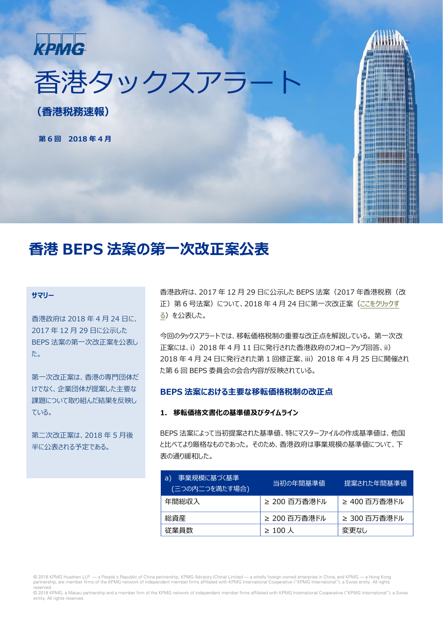

香港タックスアラー

**(香港税務速報)**

**第 6 回 2018 年 4 月**

## **香港 BEPS 法案の第一次改正案公表**

#### **サマリー**

[香港政府は](http://www.legco.gov.hk/yr17-18/english/bc/bc02/papers/bc0220180425cb1-847-2-e.pdf) 2018 年 4 月 24 日に、 2017 年 12 月 29 日に公示した BEPS 法案の第一次改正案を公表し た。

第一次改正案は、香港の専門団体だ けでなく、企業団体が提案した主要な 課題について取り組んだ結果を反映し ている。

第二次改正案は、2018 年 5 月後 半に公表される予定である。

香港政府は、2017 年 12 月 29 日に公示した BEPS 法案(2017 年香港税務(改 正)第6号法案)について、2018年4月24日に第一次改正案[\(ここをクリックす](http://www.legco.gov.hk/yr17-18/english/bc/bc02/papers/bc0220180425cb1-847-2-e.pdf) る)を公表した。

今回のタックスアラートでは、移転価格税制の重要な改正点を解説している。 第一次改 正案には、i) 2018 年 4 月 11 日に発行された香港政府のフォローアップ回答、ii) 2018 年 4 月 24 日に発行された第 1 回修正案、iii) 2018 年 4 月 25 日に開催され た第 6 回 BEPS 委員会の会合内容が反映されている。

#### **BEPS 法案における主要な移転価格税制の改正点**

#### **1. 移転価格文書化の基準値及びタイムライン**

BEPS 法案によって当初提案された基準値、特にマスターファイルの作成基準値は、他国 と比べてより厳格なものであった。 そのため、香港政府は事業規模の基準値について、下 表の通り緩和した。

| 事業規模に基づく基準<br>(a)<br>(三つの内二つを満たす場合) | 当初の年間基準値     | 提案された年間基準値   |
|-------------------------------------|--------------|--------------|
| 年間総収入                               | ≥ 200 百万香港ドル | ≥ 400 百万香港ドル |
| 総資産                                 | ≥ 200 百万香港ドル | ≥ 300 百万香港ドル |
| 従業員数                                | $\geq$ 100 人 | 変更なし         |

© 2018 KPMG Huazhen LLP — a People's Republic of China partnership, KPMG Advisory (China) Limited — a wholly foreign owned enterprise in China, and KPMG — a Hong Kong partnership, are member firms of the KPMG network of independent member firms affiliated with KPMG International Cooperative ("KPMG International"), a Swiss entity. All rights reserved.

© 2018 KPMG, a Macau partnership and a member firm of the KPMG network of independent member firms affiliated with KPMG International Cooperative ("KPMG International"), a Swiss entity. All rights reserved.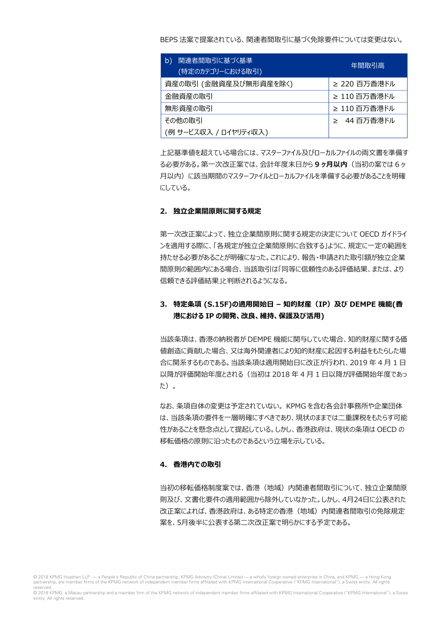BEPS 法案で提案されている、関連者間取引に基づく免除要件については変更はない。

| 関連者間取引に基づく基準<br>b)<br>(特定のカテゴリーにおける取引) | 年間取引高        |
|----------------------------------------|--------------|
| 資産の取引 (金融資産及び無形資産を除く)                  | ≥ 220 百万香港ドル |
| 金融資産の取引                                | ≥ 110 百万香港ドル |
| 無形資産の取引                                | ≥ 110 百万香港ドル |
| その他の取引                                 | ≥ 44 百万香港ドル  |
| (例 サービス収入 / ロイヤリティ収入)                  |              |

上記基準値を超えている場合には、マスターファイル及びローカルファイルの両文書を準備す る必要がある。第一次改正案では、会計年度末日から **9 ヶ月以内**(当初の案では 6 ヶ 月以内)に該当期間のマスターファイルとローカルファイルを準備する必要があることを明確 にしている。

#### **2. 独立企業間原則に関する規定**

第一次改正案によって、独立企業間原則に関する規定の決定について OECD ガイドライ ンを適用する際に、「各規定が独立企業間原則に合致する」ように、規定に一定の範囲を 持たせる必要があることが明確になった。これにより、報告・申請された取引額が独立企業 間原則の範囲内にある場合、当該取引は「同等に信頼性のある評価結果、または、より 信頼できる評価結果」と判断されるようになる。

### **3. 特定条項 (S.15F)の適用開始日 – 知的財産(IP)及び DEMPE 機能(香 港における IP の開発、改良、維持、保護及び活用)**

当該条項は、香港の納税者が DEMPE 機能に関与していた場合、知的財産に関する価 値創造に貢献した場合、又は海外関連者により知的財産に起因する利益をもたらした場 合に関系するものである。当該条項は適用開始日に改正が行われ、2019 年 4 月 1 日 以降が評価開始年度とされる(当初は 2018 年 4 月 1 日以降が評価開始年度であっ た)。

なお、条項自体の変更は予定されていない。 KPMG を含む各会計事務所や企業団体 は、当該条項の要件を一層明確にすべきであり、現状のままでは二重課税をもたらす可能 性があることを懸念点として提起している。しかし、香港政府は、現状の条項は OECD の 移転価格の原則に沿ったものであるという立場を示している。

#### **4. 香港内での取引**

当初の移転価格制度案では、香港(地域)内関連者間取引について、独立企業間原 則及び、文書化要件の適用範囲から除外していなかった。しかし、4月24日に公表された 改正案によれば、香港政府は、ある特定の香港(地域)内関連者間取引の免除規定 案を、5月後半に公表する第二次改正案で明らかにする予定である。

© 2018 KPMG Huazhen LLP — a People's Republic of China partnership, KPMG Advisory (China) Limited — a wholly foreign owned enterprise in China, and KPMG — a Hong Kong partnership, are member firms of the KPMG network of independent member firms affiliated with KPMG International Cooperative ("KPMG International"), a Swiss entity. All rights reserved.

© 2018 KPMG, a Macau partnership and a member firm of the KPMG network of independent member firms affiliated with KPMG International Cooperative ("KPMG International"), a Swiss entity. All rights reserved.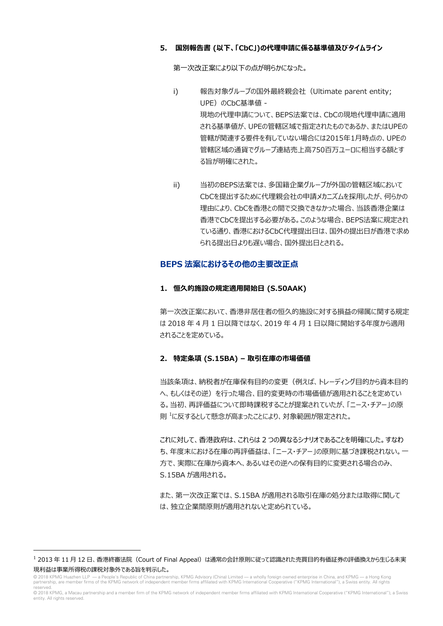#### **5. 国別報告書 (以下、「CbC」)の代理申請に係る基準値及びタイムライン**

第一次改正案により以下の点が明らかになった。

- i) 報告対象グループの国外最終親会社(Ultimate parent entity; UPE) のCbC基準値 -現地の代理申請について、BEPS法案では、CbCの現地代理申請に適用 される基準値が、UPEの管轄区域で指定されたものであるか、またはUPEの 管轄が関連する要件を有していない場合には2015年1月時点の、UPEの 管轄区域の通貨でグループ連結売上高750百万ユーロに相当する額とす る旨が明確にされた。
- ii) 当初のBEPS法案では、多国籍企業グループが外国の管轄区域において CbCを提出するために代理親会社の申請メカニズムを採用したが、何らかの 理由により、CbCを香港との間で交換できなかった場合、当該香港企業は 香港でCbCを提出する必要がある。このような場合、BEPS法案に規定され ている通り、香港におけるCbC代理提出日は、国外の提出日が香港で求め られる提出日よりも遅い場合、国外提出日とされる。

#### **BEPS 法案におけるその他の主要改正点**

#### **1. 恒久的施設の規定適用開始日 (S.50AAK)**

第一次改正案において、香港非居住者の恒久的施設に対する損益の帰属に関する規定 は 2018 年 4 月 1 日以降ではなく、2019 年 4 月 1 日以降に開始する年度から適用 されることを定めている。

#### **2. 特定条項 (S.15BA) – 取引在庫の市場価値**

当該条項は、納税者が在庫保有目的の変更(例えば、トレーディング目的から資本目的 へ、もしくはその逆)を行った場合、目的変更時の市場価値が適用されることを定めてい る。当初、再評価益について即時課税することが提案されていたが、「ニース・チアー」の原 則 [1](#page-2-0) に反するとして懸念が高まったことにより、対象範囲が限定された。

これに対して、香港政府は、これらは 2 つの異なるシナリオであることを明確にした。すなわ ち、年度末における在庫の再評価益は、「ニース・チアー」の原則に基づき課税されない。一 方で、実際に在庫から資本へ、あるいはその逆への保有目的に変更される場合のみ、 S.15BA が適用される。

また、第一次改正案では、S.15BA が適用される取引在庫の処分または取得に関して は、独立企業間原則が適用されないと定められている。

<span id="page-2-0"></span> $^{-1}$  2013 年 11 月 12 日、香港終審法院 (Court of Final Appeal) は通常の会計原則に従って認識された売買目的有価証券の評価換えから生じる未実 現利益は事業所得税の課税対象外である旨を判示した。

<sup>© 2018</sup> KPMG Huazhen LLP — a People's Republic of China partnership, KPMG Advisory (China) Limited — a wholly foreign owned enterprise in China, and KPMG — a Hong Kong<br>partnership, are member firms of the KPMG network of in

reserved.<br>© 2018 KPMG, a Macau partnership and a member firm of the KPMG network of independent member firms affiliated with KPMG International Cooperative ("KPMG International"), a Swiss entity. All rights reserved.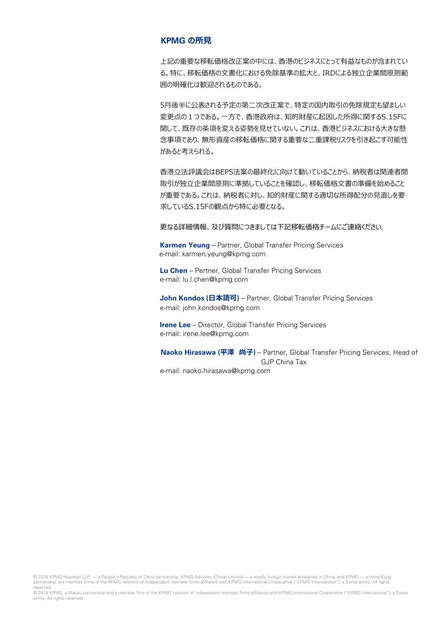#### **KPMG の所見**

上記の重要な移転価格改正案の中には、香港のビジネスにとって有益なものが含まれてい る。特に、移転価格の文書化における免除基準の拡大と、IRDによる独立企業間原則範 囲の明確化は歓迎されるものである。

5月後半に公表される予定の第二次改正案で、特定の国内取引の免除規定も望ましい 変更点の1つである。一方で、香港政府は、知的財産に起因した所得に関するS.15Fに 関して、既存の条項を変える姿勢を見せていない。これは、香港ビジネスにおける大きな懸 念事項であり、無形資産の移転価格に関する重要な二重課税リスクを引き起こす可能性 があると考えられる。

香港立法評議会はBEPS法案の最終化に向けて動いていることから、納税者は関連者間 取引が独立企業間原則に準拠していることを確認し、移転価格文書の準備を始めること が重要である。これは、納税者に対し、知的財産に関する適切な所得配分の見直しを要 求しているS.15Fの観点から特に必要となる。

更なる詳細情報、及び質問につきましては下記移転価格チームにご連絡ください。

**Karmen Yeung** – Partner, Global Transfer Pricing Services e-mail: karmen.yeung@kpmg.com

**Lu Chen** – Pertner, Global Transfer Pricing Services e-mail: lu.l.chen@kpmg.com

**John Kondos (日本語可)** – Partner, Global Transfer Pricing Services e-mail: john.kondos@kpmg.com

**Irene Lee** – Director, Global Transfer Pricing Services e-mail: irene.lee@kpmg.com

**Naoko Hirasawa (平澤 尚子)** – Partner, Global Transfer Pricing Services, Head of GJP China Tax e-mail: naoko.hirasawa@kpmg.com

© 2018 KPMG Huazhen LLP — a People's Republic of China partnership, KPMG Advisory (China) Limited — a wholly foreign owned enterprise in China, and KPMG — a Hong Kong<br>partnership, are member firms of the KPMG network of in reserved.